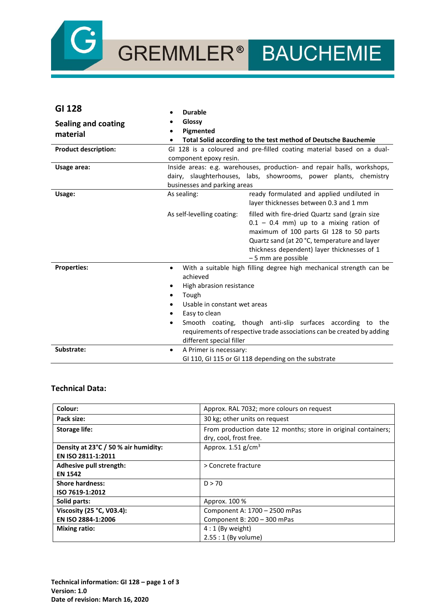

# GREMMLER<sup>®</sup> BAUCHEMIE

| GI 128                                 | <b>Durable</b>                                                                                                                                                                                                                                                                                                                                                                                          |
|----------------------------------------|---------------------------------------------------------------------------------------------------------------------------------------------------------------------------------------------------------------------------------------------------------------------------------------------------------------------------------------------------------------------------------------------------------|
| <b>Sealing and coating</b><br>material | Glossy<br>Pigmented<br>$\bullet$<br>Total Solid according to the test method of Deutsche Bauchemie                                                                                                                                                                                                                                                                                                      |
| <b>Product description:</b>            | GI 128 is a coloured and pre-filled coating material based on a dual-<br>component epoxy resin.                                                                                                                                                                                                                                                                                                         |
| Usage area:                            | Inside areas: e.g. warehouses, production- and repair halls, workshops,<br>dairy, slaughterhouses, labs, showrooms, power plants, chemistry<br>businesses and parking areas                                                                                                                                                                                                                             |
| Usage:                                 | As sealing:<br>ready formulated and applied undiluted in<br>layer thicknesses between 0.3 and 1 mm                                                                                                                                                                                                                                                                                                      |
|                                        | As self-levelling coating:<br>filled with fire-dried Quartz sand (grain size<br>$0.1 - 0.4$ mm) up to a mixing ration of<br>maximum of 100 parts GI 128 to 50 parts<br>Quartz sand (at 20 °C, temperature and layer<br>thickness dependent) layer thicknesses of 1<br>- 5 mm are possible                                                                                                               |
| <b>Properties:</b>                     | With a suitable high filling degree high mechanical strength can be<br>$\bullet$<br>achieved<br>High abrasion resistance<br>٠<br>Tough<br>$\bullet$<br>Usable in constant wet areas<br>$\bullet$<br>Easy to clean<br>٠<br>Smooth coating, though anti-slip surfaces according to the<br>$\bullet$<br>requirements of respective trade associations can be created by adding<br>different special filler |
| Substrate:                             | A Primer is necessary:<br>$\bullet$<br>GI 110, GI 115 or GI 118 depending on the substrate                                                                                                                                                                                                                                                                                                              |

### **Technical Data:**

| Colour:                              | Approx. RAL 7032; more colours on request                     |
|--------------------------------------|---------------------------------------------------------------|
| Pack size:                           | 30 kg; other units on request                                 |
| <b>Storage life:</b>                 | From production date 12 months; store in original containers; |
|                                      | dry, cool, frost free.                                        |
| Density at 23°C / 50 % air humidity: | Approx. $1.51$ g/cm <sup>3</sup>                              |
| EN ISO 2811-1:2011                   |                                                               |
| Adhesive pull strength:              | > Concrete fracture                                           |
| <b>EN 1542</b>                       |                                                               |
| <b>Shore hardness:</b>               | D > 70                                                        |
| ISO 7619-1:2012                      |                                                               |
| Solid parts:                         | Approx. 100 %                                                 |
| Viscosity (25 °C, V03.4):            | Component A: 1700 - 2500 mPas                                 |
| EN ISO 2884-1:2006                   | Component B: 200 - 300 mPas                                   |
| <b>Mixing ratio:</b>                 | $4:1$ (By weight)                                             |
|                                      | $2.55:1$ (By volume)                                          |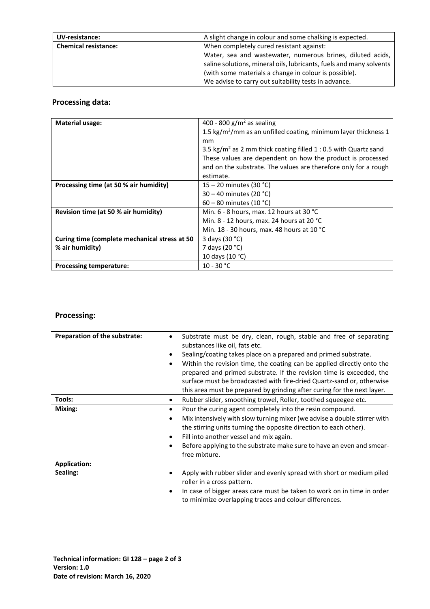| UV-resistance:              | A slight change in colour and some chalking is expected.            |
|-----------------------------|---------------------------------------------------------------------|
| <b>Chemical resistance:</b> | When completely cured resistant against:                            |
|                             | Water, sea and wastewater, numerous brines, diluted acids,          |
|                             | saline solutions, mineral oils, lubricants, fuels and many solvents |
|                             | (with some materials a change in colour is possible).               |
|                             | We advise to carry out suitability tests in advance.                |

# **Processing data:**

| <b>Material usage:</b>                        | 400 - 800 g/m <sup>2</sup> as sealing                                       |
|-----------------------------------------------|-----------------------------------------------------------------------------|
|                                               | 1.5 kg/m <sup>2</sup> /mm as an unfilled coating, minimum layer thickness 1 |
|                                               | mm                                                                          |
|                                               | 3.5 kg/m <sup>2</sup> as 2 mm thick coating filled 1 : 0.5 with Quartz sand |
|                                               | These values are dependent on how the product is processed                  |
|                                               | and on the substrate. The values are therefore only for a rough             |
|                                               | estimate.                                                                   |
| Processing time (at 50 % air humidity)        | $15 - 20$ minutes (30 °C)                                                   |
|                                               | $30 - 40$ minutes (20 °C)                                                   |
|                                               | $60 - 80$ minutes (10 °C)                                                   |
| Revision time (at 50 % air humidity)          | Min. 6 - 8 hours, max. 12 hours at 30 °C                                    |
|                                               | Min. 8 - 12 hours, max. 24 hours at 20 °C                                   |
|                                               | Min. 18 - 30 hours, max. 48 hours at 10 °C                                  |
| Curing time (complete mechanical stress at 50 | 3 days (30 °C)                                                              |
| % air humidity)                               | 7 days (20 °C)                                                              |
|                                               | 10 days (10 °C)                                                             |
| <b>Processing temperature:</b>                | $10 - 30 °C$                                                                |

## **Processing:**

| Preparation of the substrate: | Substrate must be dry, clean, rough, stable and free of separating<br>substances like oil, fats etc.                                                                                                                                                                                                                                                                        |
|-------------------------------|-----------------------------------------------------------------------------------------------------------------------------------------------------------------------------------------------------------------------------------------------------------------------------------------------------------------------------------------------------------------------------|
|                               | Sealing/coating takes place on a prepared and primed substrate.                                                                                                                                                                                                                                                                                                             |
|                               | Within the revision time, the coating can be applied directly onto the<br>$\bullet$<br>prepared and primed substrate. If the revision time is exceeded, the<br>surface must be broadcasted with fire-dried Quartz-sand or, otherwise                                                                                                                                        |
|                               | this area must be prepared by grinding after curing for the next layer.                                                                                                                                                                                                                                                                                                     |
| Tools:                        | Rubber slider, smoothing trowel, Roller, toothed squeegee etc.<br>٠                                                                                                                                                                                                                                                                                                         |
| Mixing:                       | Pour the curing agent completely into the resin compound.<br>٠<br>Mix intensively with slow turning mixer (we advise a double stirrer with<br>$\bullet$<br>the stirring units turning the opposite direction to each other).<br>Fill into another vessel and mix again.<br>٠<br>Before applying to the substrate make sure to have an even and smear-<br>٠<br>free mixture. |
| <b>Application:</b>           |                                                                                                                                                                                                                                                                                                                                                                             |
|                               |                                                                                                                                                                                                                                                                                                                                                                             |
| Sealing:                      | Apply with rubber slider and evenly spread with short or medium piled<br>roller in a cross pattern.                                                                                                                                                                                                                                                                         |
|                               | In case of bigger areas care must be taken to work on in time in order<br>٠<br>to minimize overlapping traces and colour differences.                                                                                                                                                                                                                                       |